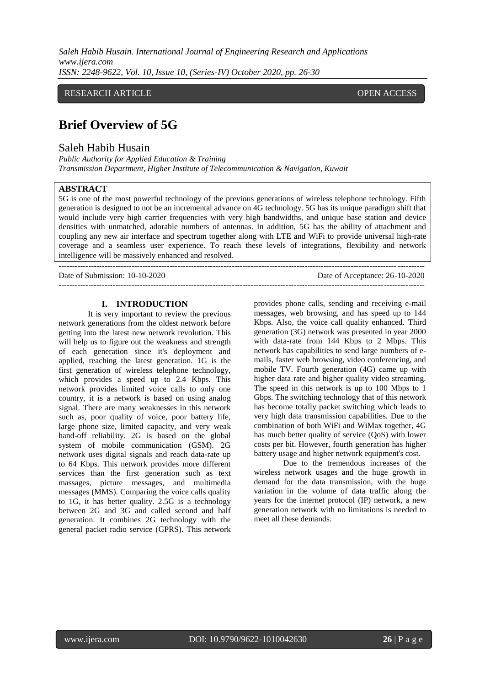*Saleh Habib Husain. International Journal of Engineering Research and Applications www.ijera.com ISSN: 2248-9622, Vol. 10, Issue 10, (Series-IV) October 2020, pp. 26-30*

RESEARCH ARTICLE **CONTRACT ARTICLE** AND A SERVICE OPEN ACCESS

## **Brief Overview of 5G**  $\mathcal{O}_\mathcal{A}$  and  $\mathcal{O}_\mathcal{A}$  and  $\mathcal{O}_\mathcal{A}$  and  $\mathcal{O}_\mathcal{A}$

Saleh Habib Husain

*Public Authority for Applied Education & Training Transmission Department, Higher Institute of Telecommunication & Navigation, Kuwait* 

I

## **ABSTRACT**

5G is one of the most powerful technology of the previous generations of wireless telephone technology. Fifth generation is designed to not be an incremental advance on 4G technology. 5G has its unique paradigm shift that would include very high carrier frequencies with very high bandwidths, and unique base station and device densities with unmatched, adorable numbers of antennas. In addition, 5G has the ability of attachment and coupling any new air interface and spectrum together along with LTE and WiFi to provide universal high-rate coverage and a seamless user experience. To reach these levels of integrations, flexibility and network intelligence will be massively enhanced and resolved.

---------------------------------------------------------------------------------------------------------------------------------------

--------------------------------------------------------------------------------------------------------------------------------------- Date of Submission: 10-10-2020 Date of Acceptance: 26-10-2020

# **I. INTRODUCTION**

It is very important to review the previous network generations from the oldest network before getting into the latest new network revolution. This will help us to figure out the weakness and strength of each generation since it's deployment and applied, reaching the latest generation. 1G is the first generation of wireless telephone technology, which provides a speed up to 2.4 Kbps. This network provides limited voice calls to only one country, it is a network is based on using analog signal. There are many weaknesses in this network such as, poor quality of voice, poor battery life, large phone size, limited capacity, and very weak hand-off reliability. 2G is based on the global system of mobile communication (GSM). 2G network uses digital signals and reach data-rate up to 64 Kbps. This network provides more different services than the first generation such as text massages, picture messages, and multimedia messages (MMS). Comparing the voice calls quality to 1G, it has better quality. 2.5G is a technology between 2G and 3G and called second and half generation. It combines 2G technology with the general packet radio service (GPRS). This network provides phone calls, sending and receiving e-mail messages, web browsing, and has speed up to 144 Kbps. Also, the voice call quality enhanced. Third generation (3G) network was presented in year 2000 with data-rate from 144 Kbps to 2 Mbps. This network has capabilities to send large numbers of emails, faster web browsing, video conferencing, and mobile TV. Fourth generation (4G) came up with higher data rate and higher quality video streaming. The speed in this network is up to 100 Mbps to 1 Gbps. The switching technology that of this network has become totally packet switching which leads to very high data transmission capabilities. Due to the combination of both WiFi and WiMax together, 4G has much better quality of service (QoS) with lower costs per bit. However, fourth generation has higher battery usage and higher network equipment's cost.

Due to the tremendous increases of the wireless network usages and the huge growth in demand for the data transmission, with the huge variation in the volume of data traffic along the years for the internet protocol (IP) network, a new generation network with no limitations is needed to meet all these demands.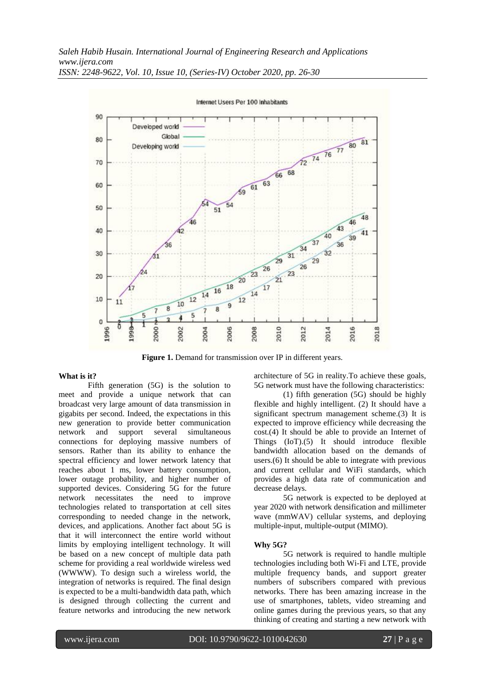

*ISSN: 2248-9622, Vol. 10, Issue 10, (Series-IV) October 2020, pp. 26-30*

**Figure 1.** Demand for transmission over IP in different years.

### **What is it?**

Fifth generation (5G) is the solution to meet and provide a unique network that can broadcast very large amount of data transmission in gigabits per second. Indeed, the expectations in this new generation to provide better communication network and support several simultaneous connections for deploying massive numbers of sensors. Rather than its ability to enhance the spectral efficiency and lower network latency that reaches about 1 ms, lower battery consumption, lower outage probability, and higher number of supported devices. Considering 5G for the future network necessitates the need to improve technologies related to transportation at cell sites corresponding to needed change in the network, devices, and applications. Another fact about 5G is that it will interconnect the entire world without limits by employing intelligent technology. It will be based on a new concept of multiple data path scheme for providing a real worldwide wireless wed (WWWW). To design such a wireless world, the integration of networks is required. The final design is expected to be a multi-bandwidth data path, which is designed through collecting the current and feature networks and introducing the new network

architecture of 5G in reality.To achieve these goals, 5G network must have the following characteristics:

(1) fifth generation (5G) should be highly flexible and highly intelligent. (2) It should have a significant spectrum management scheme.(3) It is expected to improve efficiency while decreasing the cost.(4) It should be able to provide an Internet of Things (IoT).(5) It should introduce flexible bandwidth allocation based on the demands of users.(6) It should be able to integrate with previous and current cellular and WiFi standards, which provides a high data rate of communication and decrease delays.

5G network is expected to be deployed at year 2020 with network densification and millimeter wave (mmWAV) cellular systems, and deploying multiple-input, multiple-output (MIMO).

#### **Why 5G?**

5G network is required to handle multiple technologies including both Wi-Fi and LTE, provide multiple frequency bands, and support greater numbers of subscribers compared with previous networks. There has been amazing increase in the use of smartphones, tablets, video streaming and online games during the previous years, so that any thinking of creating and starting a new network with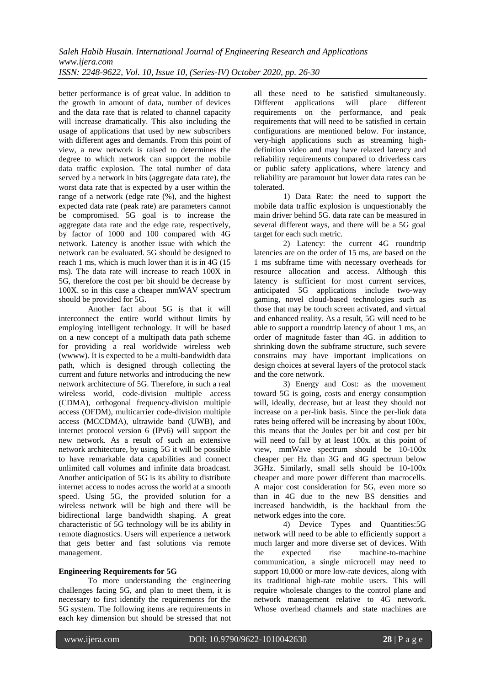better performance is of great value. In addition to the growth in amount of data, number of devices and the data rate that is related to channel capacity will increase dramatically. This also including the usage of applications that used by new subscribers with different ages and demands. From this point of view, a new network is raised to determines the degree to which network can support the mobile data traffic explosion. The total number of data served by a network in bits (aggregate data rate), the worst data rate that is expected by a user within the range of a network (edge rate (%), and the highest expected data rate (peak rate) are parameters cannot be compromised. 5G goal is to increase the aggregate data rate and the edge rate, respectively, by factor of 1000 and 100 compared with 4G network. Latency is another issue with which the network can be evaluated. 5G should be designed to reach 1 ms, which is much lower than it is in 4G (15 ms). The data rate will increase to reach 100X in 5G, therefore the cost per bit should be decrease by 100X. so in this case a cheaper mmWAV spectrum should be provided for 5G.

Another fact about 5G is that it will interconnect the entire world without limits by employing intelligent technology. It will be based on a new concept of a multipath data path scheme for providing a real worldwide wireless web (wwww). It is expected to be a multi-bandwidth data path, which is designed through collecting the current and future networks and introducing the new network architecture of 5G. Therefore, in such a real wireless world, code-division multiple access (CDMA), orthogonal frequency-division multiple access (OFDM), multicarrier code-division multiple access (MCCDMA), ultrawide band (UWB), and internet protocol version 6 (IPv6) will support the new network. As a result of such an extensive network architecture, by using 5G it will be possible to have remarkable data capabilities and connect unlimited call volumes and infinite data broadcast. Another anticipation of 5G is its ability to distribute internet access to nodes across the world at a smooth speed. Using 5G, the provided solution for a wireless network will be high and there will be bidirectional large bandwidth shaping. A great characteristic of 5G technology will be its ability in remote diagnostics. Users will experience a network that gets better and fast solutions via remote management.

## **Engineering Requirements for 5G**

To more understanding the engineering challenges facing 5G, and plan to meet them, it is necessary to first identify the requirements for the 5G system. The following items are requirements in each key dimension but should be stressed that not all these need to be satisfied simultaneously. Different applications will place different requirements on the performance, and peak requirements that will need to be satisfied in certain configurations are mentioned below. For instance, very-high applications such as streaming highdefinition video and may have relaxed latency and reliability requirements compared to driverless cars or public safety applications, where latency and reliability are paramount but lower data rates can be tolerated.

1) Data Rate: the need to support the mobile data traffic explosion is unquestionably the main driver behind 5G. data rate can be measured in several different ways, and there will be a 5G goal target for each such metric.

2) Latency: the current 4G roundtrip latencies are on the order of 15 ms, are based on the 1 ms subframe time with necessary overheads for resource allocation and access. Although this latency is sufficient for most current services, anticipated 5G applications include two-way gaming, novel cloud-based technologies such as those that may be touch screen activated, and virtual and enhanced reality. As a result, 5G will need to be able to support a roundtrip latency of about 1 ms, an order of magnitude faster than 4G. in addition to shrinking down the subframe structure, such severe constrains may have important implications on design choices at several layers of the protocol stack and the core network.

3) Energy and Cost: as the movement toward 5G is going, costs and energy consumption will, ideally, decrease, but at least they should not increase on a per-link basis. Since the per-link data rates being offered will be increasing by about 100x, this means that the Joules per bit and cost per bit will need to fall by at least 100x. at this point of view, mmWave spectrum should be 10-100x cheaper per Hz than 3G and 4G spectrum below 3GHz. Similarly, small sells should be 10-100x cheaper and more power different than macrocells. A major cost consideration for 5G, even more so than in 4G due to the new BS densities and increased bandwidth, is the backhaul from the network edges into the core.

4) Device Types and Quantities:5G network will need to be able to efficiently support a much larger and more diverse set of devices. With the expected rise machine-to-machine communication, a single microcell may need to support 10,000 or more low-rate devices, along with its traditional high-rate mobile users. This will require wholesale changes to the control plane and network management relative to 4G network. Whose overhead channels and state machines are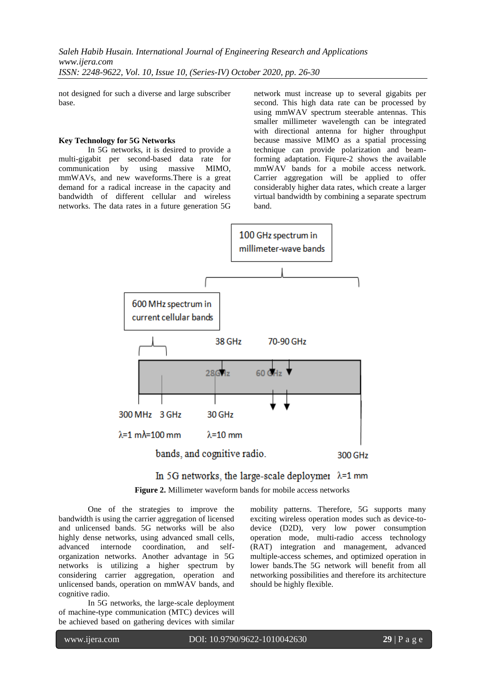not designed for such a diverse and large subscriber base.

#### **Key Technology for 5G Networks**

In 5G networks, it is desired to provide a multi-gigabit per second-based data rate for communication by using massive MIMO, mmWAVs, and new waveforms.There is a great demand for a radical increase in the capacity and bandwidth of different cellular and wireless networks. The data rates in a future generation 5G network must increase up to several gigabits per second. This high data rate can be processed by using mmWAV spectrum steerable antennas. This smaller millimeter wavelength can be integrated with directional antenna for higher throughput because massive MIMO as a spatial processing technique can provide polarization and beamforming adaptation. Fiqure-2 shows the available mmWAV bands for a mobile access network. Carrier aggregation will be applied to offer considerably higher data rates, which create a larger virtual bandwidth by combining a separate spectrum band.





**Figure 2.** Millimeter waveform bands for mobile access networks

One of the strategies to improve the bandwidth is using the carrier aggregation of licensed and unlicensed bands. 5G networks will be also highly dense networks, using advanced small cells, advanced internode coordination, and selforganization networks. Another advantage in 5G networks is utilizing a higher spectrum by considering carrier aggregation, operation and unlicensed bands, operation on mmWAV bands, and cognitive radio.

In 5G networks, the large-scale deployment of machine-type communication (MTC) devices will be achieved based on gathering devices with similar

mobility patterns. Therefore, 5G supports many exciting wireless operation modes such as device-todevice (D2D), very low power consumption operation mode, multi-radio access technology (RAT) integration and management, advanced multiple-access schemes, and optimized operation in lower bands.The 5G network will benefit from all networking possibilities and therefore its architecture should be highly flexible.